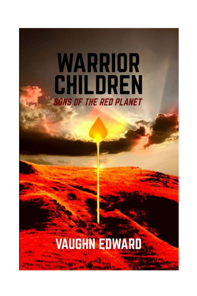# WARRIOR **CHILDREN SONS OF THE RED PLANET**

### **VAUGHN EDWARD**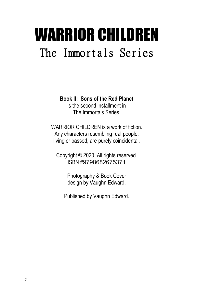## WARRIOR CHILDREN The Immortals Series

**Book II: Sons of the Red Planet**

is the second installment in The Immortals Series.

WARRIOR CHILDREN is a work of fiction. Any characters resembling real people, living or passed, are purely coincidental.

Copyright © 2020. All rights reserved. ISBN #9798682675371

> Photography & Book Cover design by Vaughn Edward.

Published by Vaughn Edward.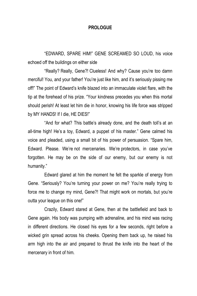#### **PROLOGUE**

"EDWARD, SPARE HIM!" GENE SCREAMED SO LOUD, his voice echoed off the buildings on either side

"Really? Really, Gene?! Clueless! And why? Cause you're too damn merciful! You, and your father! You're just like him, and it's seriously pissing me off!" The point of Edward's knife blazed into an immaculate violet flare, with the tip at the forehead of his prize. "Your kindness precedes you when this mortal should perish! At least let him die in honor, knowing his life force was stripped by MY HANDS! If I die, HE DIES!"

"And for what? This battle's already done, and the death toll's at an all-time high! He's a toy, Edward, a puppet of his master." Gene calmed his voice and pleaded, using a small bit of his power of persuasion. "Spare him, Edward. Please. We're not mercenaries. We're protectors, in case you've forgotten. He may be on the side of our enemy, but our enemy is not humanity."

Edward glared at him the moment he felt the sparkle of energy from Gene. "Seriously? You're turning your power on me? You're really trying to force me to change my mind, Gene?! That might work on mortals, but you're outta your league on this one!"

Crazily, Edward stared at Gene, then at the battlefield and back to Gene again. His body was pumping with adrenaline, and his mind was racing in different directions. He closed his eyes for a few seconds, right before a wicked grin spread across his cheeks. Opening them back up, he raised his arm high into the air and prepared to thrust the knife into the heart of the mercenary in front of him.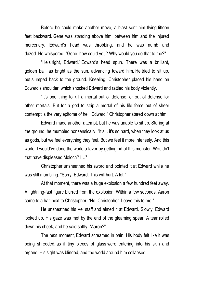Before he could make another move, a blast sent him flying fifteen feet backward. Gene was standing above him, between him and the injured mercenary. Edward's head was throbbing, and he was numb and dazed. He whispered, "Gene, how could you? Why would you do that to me?"

"He's right, Edward." Edward's head spun. There was a brilliant, golden ball, as bright as the sun, advancing toward him. He tried to sit up, but slumped back to the ground. Kneeling, Christopher placed his hand on Edward's shoulder, which shocked Edward and rattled his body violently.

"It's one thing to kill a mortal out of defense, or out of defense for other mortals. But for a god to strip a mortal of his life force out of sheer contempt is the very epitome of hell, Edward." Christopher stared down at him.

Edward made another attempt, but he was unable to sit up. Staring at the ground, he mumbled nonsensically. "It's... it's so hard, when they look at us as gods, but we feel everything they feel. But we feel it more intensely. And this world. I would've done the world a favor by getting rid of this monster. Wouldn't that have displeased Moloch? I…"

Christopher unsheathed his sword and pointed it at Edward while he was still mumbling. "Sorry, Edward. This will hurt. A lot."

At that moment, there was a huge explosion a few hundred feet away. A lightning-fast figure blurred from the explosion. Within a few seconds, Aaron came to a halt next to Christopher. "No, Christopher. Leave this to me."

He unsheathed his Vel staff and aimed it at Edward. Slowly, Edward looked up. His gaze was met by the end of the gleaming spear. A tear rolled down his cheek, and he said softly, "Aaron?"

The next moment, Edward screamed in pain. His body felt like it was being shredded, as if tiny pieces of glass were entering into his skin and organs. His sight was blinded, and the world around him collapsed.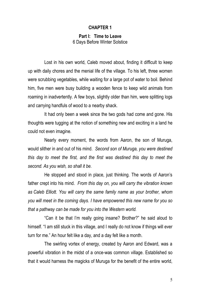#### **CHAPTER 1**

#### **Part I: Time to Leave** 6 Days Before Winter Solstice

Lost in his own world, Caleb moved about, finding it difficult to keep up with daily chores and the menial life of the village. To his left, three women were scrubbing vegetables, while waiting for a large pot of water to boil. Behind him, five men were busy building a wooden fence to keep wild animals from roaming in inadvertently. A few boys, slightly older than him, were splitting logs and carrying handfuls of wood to a nearby shack.

It had only been a week since the two gods had come and gone. His thoughts were tugging at the notion of something new and exciting in a land he could not even imagine.

Nearly every moment, the words from Aaron, the son of Muruga, would slither in and out of his mind. *Second son of Muruga, you were destined this day to meet the first, and the first was destined this day to meet the second. As you wish, so shall it be.*

He stopped and stood in place, just thinking. The words of Aaron's father crept into his mind. *From this day on, you will carry the vibration known as Caleb Elliott. You will carry the same family name as your brother, whom you will meet in the coming days. I have empowered this new name for you so that a pathway can be made for you into the Western world.*

"Can it be that I'm really going insane? Brother?" he said aloud to himself. "I am still stuck in this village, and I really do not know if things will ever turn for me." An hour felt like a day, and a day felt like a month.

The swirling vortex of energy, created by Aaron and Edward, was a powerful vibration in the midst of a once-was common village. Established so that it would harness the magicks of Muruga for the benefit of the entire world,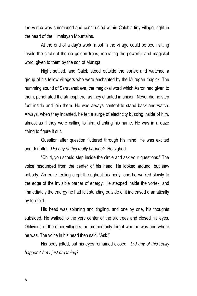the vortex was summoned and constructed within Caleb's tiny village, right in the heart of the Himalayan Mountains.

At the end of a day's work, most in the village could be seen sitting inside the circle of the six golden trees, repeating the powerful and magickal word, given to them by the son of Muruga.

Night settled, and Caleb stood outside the vortex and watched a group of his fellow villagers who were enchanted by the Murugan magick. The humming sound of Saravanabava, the magickal word which Aaron had given to them, penetrated the atmosphere, as they chanted in unison. Never did he step foot inside and join them. He was always content to stand back and watch. Always, when they incanted, he felt a surge of electricity buzzing inside of him, almost as if they were calling to him, chanting his name. He was in a daze trying to figure it out.

Question after question fluttered through his mind. He was excited and doubtful. *Did any of this really happen?* He sighed.

"Child, you should step inside the circle and ask your questions." The voice resounded from the center of his head. He looked around, but saw nobody. An eerie feeling crept throughout his body, and he walked slowly to the edge of the invisible barrier of energy. He stepped inside the vortex, and immediately the energy he had felt standing outside of it increased dramatically by ten-fold.

His head was spinning and tingling, and one by one, his thoughts subsided. He walked to the very center of the six trees and closed his eyes. Oblivious of the other villagers, he momentarily forgot who he was and where he was. The voice in his head then said, "Ask."

His body jolted, but his eyes remained closed. *Did any of this really happen? Am I just dreaming?*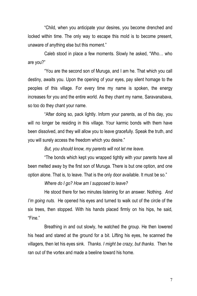"Child, when you anticipate your desires, you become drenched and locked within time. The only way to escape this mold is to become present, unaware of anything else but this moment."

Caleb stood in place a few moments. Slowly he asked, "Who… who are you?"

"You are the second son of Muruga, and I am he. That which you call destiny, awaits you. Upon the opening of your eyes, pay silent homage to the peoples of this village. For every time my name is spoken, the energy increases for you and the entire world. As they chant my name, Saravanabava, so too do they chant your name.

"After doing so, pack lightly. Inform your parents, as of this day, you will no longer be residing in this village. Your karmic bonds with them have been dissolved, and they will allow you to leave gracefully. Speak the truth, and you will surely access the freedom which you desire."

*But, you should know, my parents will not let me leave.*

"The bonds which kept you wrapped tightly with your parents have all been melted away by the first son of Muruga. There is but one option, and one option alone. That is, to leave. That is the only door available. It must be so."

*Where do I go? How am I supposed to leave?*

He stood there for two minutes listening for an answer. Nothing. *And I'm going nuts.* He opened his eyes and turned to walk out of the circle of the six trees, then stopped. With his hands placed firmly on his hips, he said, "Fine."

Breathing in and out slowly, he watched the group. He then lowered his head and stared at the ground for a bit. Lifting his eyes, he scanned the villagers, then let his eyes sink. *Thanks. I might be crazy, but thanks.* Then he ran out of the vortex and made a beeline toward his home.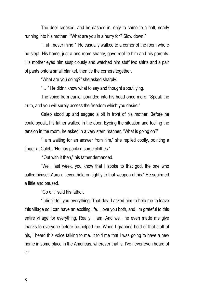The door creaked, and he dashed in, only to come to a halt, nearly running into his mother. "What are you in a hurry for? Slow down!"

"I, uh, never mind." He casually walked to a corner of the room where he slept. His home, just a one-room shanty, gave roof to him and his parents. His mother eyed him suspiciously and watched him stuff two shirts and a pair of pants onto a small blanket, then tie the corners together.

"What are you doing?" she asked sharply.

"I…" He didn't know what to say and thought about lying.

The voice from earlier pounded into his head once more. "Speak the truth, and you will surely access the freedom which you desire."

Caleb stood up and sagged a bit in front of his mother. Before he could speak, his father walked in the door. Eyeing the situation and feeling the tension in the room, he asked in a very stern manner, "What is going on?"

"I am waiting for an answer from him," she replied coolly, pointing a finger at Caleb. "He has packed some clothes."

"Out with it then," his father demanded.

"Well, last week, you know that I spoke to that god, the one who called himself Aaron. I even held on tightly to that weapon of his." He squirmed a little and paused.

"Go on," said his father.

"I didn't tell you everything. That day, I asked him to help me to leave this village so I can have an exciting life. I love you both, and I'm grateful to this entire village for everything. Really, I am. And well, he even made me give thanks to everyone before he helped me. When I grabbed hold of that staff of his, I heard this voice talking to me. It told me that I was going to have a new home in some place in the Americas, wherever that is. I've never even heard of it."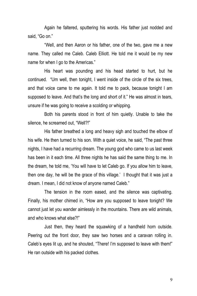Again he faltered, sputtering his words. His father just nodded and said, "Go on."

"Well, and then Aaron or his father, one of the two, gave me a new name. They called me Caleb. Caleb Elliott. He told me it would be my new name for when I go to the Americas."

His heart was pounding and his head started to hurt, but he continued. "Um well, then tonight, I went inside of the circle of the six trees, and that voice came to me again. It told me to pack, because tonight I am supposed to leave. And that's the long and short of it." He was almost in tears, unsure if he was going to receive a scolding or whipping.

Both his parents stood in front of him quietly. Unable to take the silence, he screamed out, "Well?!"

His father breathed a long and heavy sigh and touched the elbow of his wife. He then turned to his son. With a quiet voice, he said, "The past three nights, I have had a recurring dream. The young god who came to us last week has been in it each time. All three nights he has said the same thing to me. In the dream, he told me, 'You will have to let Caleb go. If you allow him to leave, then one day, he will be the grace of this village.' I thought that it was just a dream. I mean, I did not know of anyone named Caleb."

The tension in the room eased, and the silence was captivating. Finally, his mother chimed in, "How are you supposed to leave tonight? We cannot just let you wander aimlessly in the mountains. There are wild animals, and who knows what else?!"

Just then, they heard the squawking of a handheld horn outside. Peering out the front door, they saw two horses and a caravan rolling in. Caleb's eyes lit up, and he shouted, "There! I'm supposed to leave with them!" He ran outside with his packed clothes.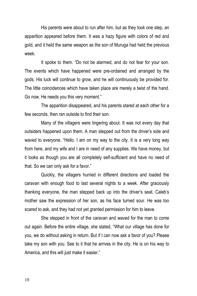His parents were about to run after him, but as they took one step, an apparition appeared before them. It was a hazy figure with colors of red and gold, and it held the same weapon as the son of Muruga had held the previous week.

It spoke to them. "Do not be alarmed, and do not fear for your son. The events which have happened were pre-ordained and arranged by the gods. His luck will continue to grow, and he will continuously be provided for. The little coincidences which have taken place are merely a twist of the hand. Go now. He needs you this very moment."

The apparition disappeared, and his parents stared at each other for a few seconds, then ran outside to find their son.

Many of the villagers were lingering about. It was not every day that outsiders happened upon them. A man stepped out from the driver's side and waved to everyone. "Hello. I am on my way to the city. It is a very long way from here, and my wife and I are in need of any supplies. We have money, but it looks as though you are all completely self-sufficient and have no need of that. So we can only ask for a favor."

Quickly, the villagers hurried in different directions and loaded the caravan with enough food to last several nights to a week. After graciously thanking everyone, the man stepped back up into the driver's seat. Caleb's mother saw the expression of her son, as his face turned sour. He was too scared to ask, and they had not yet granted permission for him to leave.

She stepped in front of the caravan and waved for the man to come out again. Before the entire village, she stated, "What our village has done for you, we do without asking in return. But if I can now ask a favor of you? Please take my son with you. See to it that he arrives in the city. He is on his way to America, and this will just make it easier."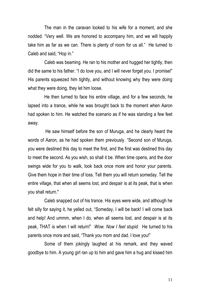The man in the caravan looked to his wife for a moment, and she nodded. "Very well. We are honored to accompany him, and we will happily take him as far as we can. There is plenty of room for us all." He turned to Caleb and said, "Hop in."

Caleb was beaming. He ran to his mother and hugged her tightly, then did the same to his father. "I do love you, and I will never forget you. I promise!" His parents squeezed him tightly, and without knowing why they were doing what they were doing, they let him loose.

He then turned to face his entire village, and for a few seconds, he lapsed into a trance, while he was brought back to the moment when Aaron had spoken to him. He watched the scenario as if he was standing a few feet away.

He saw himself before the son of Muruga, and he clearly heard the words of Aaron, as he had spoken them previously. "Second son of Muruga, you were destined this day to meet the first, and the first was destined this day to meet the second. As you wish, so shall it be. When time opens, and the door swings wide for you to walk, look back once more and honor your parents. Give them hope in their time of loss. Tell them you will return someday. Tell the entire village, that when all seems lost, and despair is at its peak, that is when you shall return."

Caleb snapped out of his trance. His eyes were wide, and although he felt silly for saying it, he yelled out, "Someday, I will be back! I will come back and help! And ummm, when I do, when all seems lost, and despair is at its peak, THAT is when I will return!" *Wow. Now I feel stupid.* He turned to his parents once more and said, "Thank you mom and dad. I love you!"

Some of them jokingly laughed at his remark, and they waved goodbye to him. A young girl ran up to him and gave him a hug and kissed him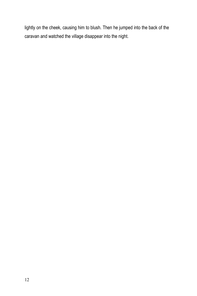lightly on the cheek, causing him to blush. Then he jumped into the back of the caravan and watched the village disappear into the night.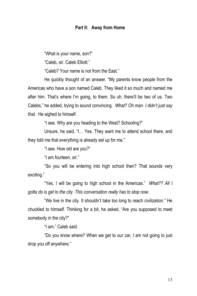#### **Part II: Away from Home**

"What is your name, son?"

"Caleb, sir. Caleb Elliott."

"Caleb? Your name is not from the East."

He quickly thought of an answer. "My parents know people from the Americas who have a son named Caleb. They liked it so much and named me after him. That's where I'm going, to them. So uh, there'll be two of us. Two Calebs," he added, trying to sound convincing. *What? Oh man. I didn't just say that.* He sighed to himself.

"I see. Why are you heading to the West? Schooling?"

Unsure, he said, "I… Yes. They want me to attend school there, and they told me that everything is already set up for me."

"I see. How old are you?"

"I am fourteen, sir."

"So you will be entering into high school then? That sounds very exciting."

"Yes. I will be going to high school in the Americas." *What?? All I gotta do is get to the city. This conversation really has to stop now.*

"We live in the city. It shouldn't take too long to reach civilization." He chuckled to himself. Thinking for a bit, he asked, "Are you supposed to meet somebody in the city?"

"I am." Caleb said.

"Do you know where? When we get to our car, I am not going to just drop you off anywhere."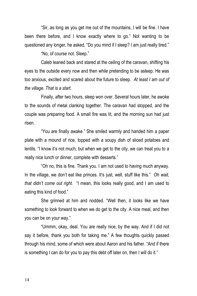"Sir, as long as you get me out of the mountains, I will be fine. I have been there before, and I know exactly where to go." Not wanting to be questioned any longer, he asked, "Do you mind if I sleep? I am just really tired."

"No, of course not. Sleep."

Caleb leaned back and stared at the ceiling of the caravan, shifting his eyes to the outside every now and then while pretending to be asleep. He was too anxious, excited and scared about the future to sleep. *At least I am out of the village. That is a start.*

Finally, after two hours, sleep won over. Several hours later, he awoke to the sounds of metal clanking together. The caravan had stopped, and the couple was preparing food. A small fire was lit, and the morning sun had just risen.

"You are finally awake." She smiled warmly and handed him a paper plate with a mound of rice, topped with a soupy dish of sliced potatoes and lentils. "I know it's not much, but when we get to the city, we can treat you to a really nice lunch or dinner, complete with desserts."

"Oh no, this is fine. Thank you. I am not used to having much anyway. In the village, we don't eat like princes. It's just, well, stuff like this." *Oh wait, that didn't come out right.* "I mean, this looks really good, and I am used to eating this kind of food."

She grinned at him and nodded. "Well then, it looks like we have something to look forward to when we do get to the city. A nice meal, and then you can be on your way."

"Ummm, okay, deal. You are really nice, by the way. And if I did not say it before, thank you both for taking me." A few thoughts quickly passed through his mind, some of which were about Aaron and his father. "And if there is something I can do for you to pay this debt off later on, then I will do it."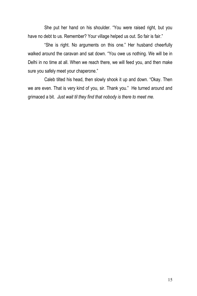She put her hand on his shoulder. "You were raised right, but you have no debt to us. Remember? Your village helped us out. So fair is fair."

"She is right. No arguments on this one." Her husband cheerfully walked around the caravan and sat down. "You owe us nothing. We will be in Delhi in no time at all. When we reach there, we will feed you, and then make sure you safely meet your chaperone."

Caleb tilted his head, then slowly shook it up and down. "Okay. Then we are even. That is very kind of you, sir. Thank you." He turned around and grimaced a bit. *Just wait til they find that nobody is there to meet me.*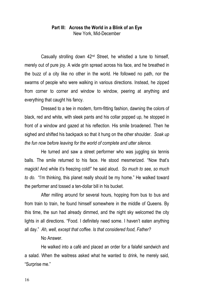#### **Part III: Across the World in a Blink of an Eye** New York, Mid-December

Casually strolling down 42nd Street, he whistled a tune to himself, merely out of pure joy. A wide grin spread across his face, and he breathed in the buzz of a city like no other in the world. He followed no path, nor the swarms of people who were walking in various directions. Instead, he zipped from corner to corner and window to window, peering at anything and everything that caught his fancy.

Dressed to a tee in modern, form-fitting fashion, dawning the colors of black, red and white, with sleek pants and his collar popped up, he stopped in front of a window and gazed at his reflection. His smile broadened. Then he sighed and shifted his backpack so that it hung on the other shoulder. *Soak up the fun now before leaving for the world of complete and utter silence.*

He turned and saw a street performer who was juggling six tennis balls. The smile returned to his face. He stood mesmerized. "Now that's magick! And while it's freezing cold!" he said aloud. *So much to see, so much to do.* "I'm thinking, this planet really should be my home." He walked toward the performer and tossed a ten-dollar bill in his bucket.

After milling around for several hours, hopping from bus to bus and from train to train, he found himself somewhere in the middle of Queens. By this time, the sun had already dimmed, and the night sky welcomed the city lights in all directions. "Food. I definitely need some. I haven't eaten anything all day." *Ah, well, except that coffee. Is that considered food, Father?*

No Answer.

He walked into a café and placed an order for a falafel sandwich and a salad. When the waitress asked what he wanted to drink, he merely said, "Surprise me."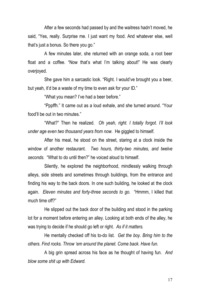After a few seconds had passed by and the waitress hadn't moved, he said, "Yes, really. Surprise me. I just want my food. And whatever else, well that's just a bonus. So there you go."

A few minutes later, she returned with an orange soda, a root beer float and a coffee. "Now that's what I'm talking about!" He was clearly overjoyed.

She gave him a sarcastic look. "Right. I would've brought you a beer, but yeah, it'd be a waste of my time to even ask for your ID."

"What you mean? I've had a beer before."

"Pppffh." It came out as a loud exhale, and she turned around. "Your food'll be out in two minutes."

"What?" Then he realized. *Oh yeah, right. I totally forgot. I'll look under age even two thousand years from now.* He giggled to himself.

After his meal, he stood on the street, staring at a clock inside the window of another restaurant. *Two hours, thirty-two minutes, and twelve seconds.* "What to do until then?" he voiced aloud to himself.

Silently, he explored the neighborhood, mindlessly walking through alleys, side streets and sometimes through buildings, from the entrance and finding his way to the back doors. In one such building, he looked at the clock again. *Eleven minutes and forty-three seconds to go.* "Hmmm, I killed that much time off?"

He slipped out the back door of the building and stood in the parking lot for a moment before entering an alley. Looking at both ends of the alley, he was trying to decide if he should go left or right. *As if it matters.*

He mentally checked off his to-do list. *Get the boy. Bring him to the others. Find rocks. Throw 'em around the planet. Come back. Have fun.*

A big grin spread across his face as he thought of having fun. *And blow some shit up with Edward.*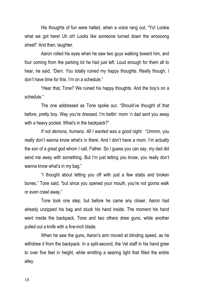His thoughts of fun were halted, when a voice rang out, "Yo! Lookie what we got here! Uh oh! Looks like someone turned down the wroooong street!" And then, laughter.

Aaron rolled his eyes when he saw two guys walking toward him, and four coming from the parking lot he had just left. Loud enough for them all to hear, he said, "Darn. You totally ruined my happy thoughts. Really though, I don't have time for this. I'm on a schedule."

"Hear that, Tone? We ruined his happy thoughts. And the boy's on a schedule."

The one addressed as Tone spoke out. "Should've thought of that before, pretty boy. Way you're dressed, I'm bettin' mom 'n dad sent you away with a heavy pocket. What's in the backpack?"

*If not demons, humans. All I wanted was a good night.* "Ummm, you really don't wanna know what's in there. And I don't have a mom. I'm actually the son of a great god whom I call, Father. So I guess you can say, my dad did send me away with something. But I'm just letting you know, you really don't wanna know what's in my bag."

"I thought about letting you off with just a few stabs and broken bones," Tone said, "but since you opened your mouth, you're not gonna walk or even crawl away."

Tone took one step, but before he came any closer, Aaron had already unzipped his bag and stuck his hand inside. The moment his hand went inside the backpack, Tone and two others drew guns, while another pulled out a knife with a five-inch blade.

When he saw the guns, Aaron's arm moved at blinding speed, as he withdrew it from the backpack. In a split-second, the Vel staff in his hand grew to over five feet in height, while emitting a searing light that filled the entire alley.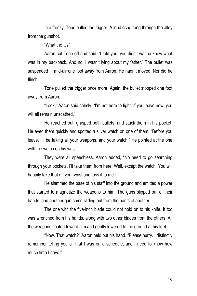In a frenzy, Tone pulled the trigger. A loud echo rang through the alley from the gunshot.

"What the…?"

Aaron cut Tone off and said, "I told you, you didn't wanna know what was in my backpack. And no, I wasn't lying about my father." The bullet was suspended in mid-air one foot away from Aaron. He hadn't moved. Nor did he flinch.

Tone pulled the trigger once more. Again, the bullet stopped one foot away from Aaron.

"Look," Aaron said calmly. "I'm not here to fight. If you leave now, you will all remain unscathed."

He reached out, grasped both bullets, and stuck them in his pocket. He eyed them quickly and spotted a silver watch on one of them. "Before you leave, I'll be taking all your weapons, and your watch." He pointed at the one with the watch on his wrist.

They were all speechless. Aaron added, "No need to go searching through your pockets. I'll take them from here. Well, except the watch. You will happily take that off your wrist and toss it to me."

He slammed the base of his staff into the ground and emitted a power that started to magnetize the weapons to him. The guns slipped out of their hands, and another gun came sliding out from the pants of another.

The one with the five-inch blade could not hold on to his knife. It too was wrenched from his hands, along with two other blades from the others. All the weapons floated toward him and gently lowered to the ground at his feet.

"Now. That watch?" Aaron held out his hand. "Please hurry. I distinctly remember telling you all that I was on a schedule, and I need to know how much time I have."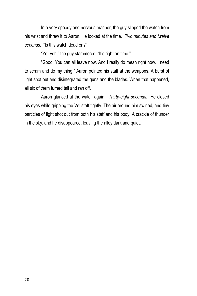In a very speedy and nervous manner, the guy slipped the watch from his wrist and threw it to Aaron. He looked at the time. *Two minutes and twelve seconds.* "Is this watch dead on?"

"Ye- yeh," the guy stammered. "It's right on time."

"Good. You can all leave now. And I really do mean right now. I need to scram and do my thing." Aaron pointed his staff at the weapons. A burst of light shot out and disintegrated the guns and the blades. When that happened, all six of them turned tail and ran off.

Aaron glanced at the watch again. *Thirty-eight seconds.* He closed his eyes while gripping the Vel staff tightly. The air around him swirled, and tiny particles of light shot out from both his staff and his body. A crackle of thunder in the sky, and he disappeared, leaving the alley dark and quiet.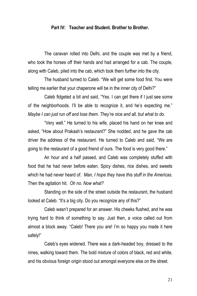#### **Part IV: Teacher and Student. Brother to Brother.**

The caravan rolled into Delhi, and the couple was met by a friend, who took the horses off their hands and had arranged for a cab. The couple, along with Caleb, piled into the cab, which took them further into the city.

The husband turned to Caleb. "We will get some food first. You were telling me earlier that your chaperone will be in the inner city of Delhi?"

Caleb fidgeted a bit and said, "Yes. I can get there if I just see some of the neighborhoods. I'll be able to recognize it, and he's expecting me." *Maybe I can just run off and lose them. They're nice and all, but what to do.*

"Very well." He turned to his wife, placed his hand on her knee and asked, "How about Prakash's restaurant?" She nodded, and he gave the cab driver the address of the restaurant. He turned to Caleb and said, "We are going to the restaurant of a good friend of ours. The food is very good there."

An hour and a half passed, and Caleb was completely stuffed with food that he had never before eaten. Spicy dishes, rice dishes, and sweets which he had never heard of. *Man, I hope they have this stuff in the Americas.* Then the agitation hit. *Oh no. Now what?*

Standing on the side of the street outside the restaurant, the husband looked at Caleb. "It's a big city. Do you recognize any of this?"

Caleb wasn't prepared for an answer. His cheeks flushed, and he was trying hard to think of something to say. Just then, a voice called out from almost a block away. "Caleb! There you are! I'm so happy you made it here safely!"

Caleb's eyes widened. There was a dark-headed boy, dressed to the nines, walking toward them. The bold mixture of colors of black, red and white, and his obvious foreign origin stood out amongst everyone else on the street.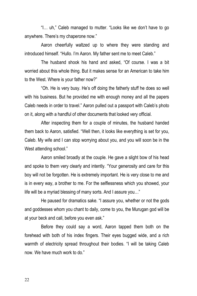"I… uh," Caleb managed to mutter. "Looks like we don't have to go anywhere. There's my chaperone now."

Aaron cheerfully waltzed up to where they were standing and introduced himself. "Hullo. I'm Aaron. My father sent me to meet Caleb."

The husband shook his hand and asked, "Of course. I was a bit worried about this whole thing. But it makes sense for an American to take him to the West. Where is your father now?"

"Oh. He is very busy. He's off doing the fatherly stuff he does so well with his business. But he provided me with enough money and all the papers Caleb needs in order to travel." Aaron pulled out a passport with Caleb's photo on it, along with a handful of other documents that looked very official.

After inspecting them for a couple of minutes, the husband handed them back to Aaron, satisfied. "Well then, it looks like everything is set for you, Caleb. My wife and I can stop worrying about you, and you will soon be in the West attending school."

Aaron smiled broadly at the couple. He gave a slight bow of his head and spoke to them very clearly and intently. "Your generosity and care for this boy will not be forgotten. He is extremely important. He is very close to me and is in every way, a brother to me. For the selflessness which you showed, your life will be a myriad blessing of many sorts. And I assure you…"

He paused for dramatics sake. "I assure you, whether or not the gods and goddesses whom you chant to daily, come to you, the Murugan god will be at your beck and call, before you even ask."

Before they could say a word, Aaron tapped them both on the forehead with both of his index fingers. Their eyes bugged wide, and a rich warmth of electricity spread throughout their bodies. "I will be taking Caleb now. We have much work to do."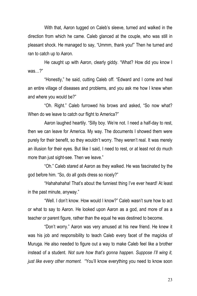With that, Aaron tugged on Caleb's sleeve, turned and walked in the direction from which he came. Caleb glanced at the couple, who was still in pleasant shock. He managed to say, "Ummm, thank you!" Then he turned and ran to catch up to Aaron.

He caught up with Aaron, clearly giddy. "What? How did you know I was…?"

"Honestly," he said, cutting Caleb off. "Edward and I come and heal an entire village of diseases and problems, and you ask me how I knew when and where you would be?"

"Oh. Right." Caleb furrowed his brows and asked, "So now what? When do we leave to catch our flight to America?"

Aaron laughed heartily. "Silly boy. We're not. I need a half-day to rest, then we can leave for America. My way. The documents I showed them were purely for their benefit, so they wouldn't worry. They weren't real. It was merely an illusion for their eyes. But like I said, I need to rest, or at least not do much more than just sight-see. Then we leave."

"Oh." Caleb stared at Aaron as they walked. He was fascinated by the god before him. "So, do all gods dress so nicely?"

"Hahahahaha! That's about the funniest thing I've ever heard! At least in the past minute, anyway."

"Well. I don't know. How would I know?" Caleb wasn't sure how to act or what to say to Aaron. He looked upon Aaron as a god, and more of as a teacher or parent figure, rather than the equal he was destined to become.

"Don't worry." Aaron was very amused at his new friend. He knew it was his job and responsibility to teach Caleb every facet of the magicks of Muruga. He also needed to figure out a way to make Caleb feel like a brother instead of a student. *Not sure how that's gonna happen. Suppose I'll wing it, just like every other moment.* "You'll know everything you need to know soon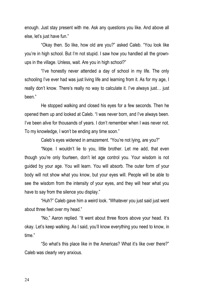enough. Just stay present with me. Ask any questions you like. And above all else, let's just have fun."

"Okay then. So like, how old are you?" asked Caleb. "You look like you're in high school. But I'm not stupid. I saw how you handled all the grownups in the village. Unless, wait. Are you in high school?"

"I've honestly never attended a day of school in my life. The only schooling I've ever had was just living life and learning from it. As for my age, I really don't know. There's really no way to calculate it. I've always just… just been."

He stopped walking and closed his eyes for a few seconds. Then he opened them up and looked at Caleb. "I was never born, and I've always been. I've been alive for thousands of years. I don't remember when I was never not. To my knowledge, I won't be ending any time soon."

Caleb's eyes widened in amazement. "You're not lying, are you?"

"Nope. I wouldn't lie to you, little brother. Let me add, that even though you're only fourteen, don't let age control you. Your wisdom is not guided by your age. You will learn. You will absorb. The outer form of your body will not show what you know, but your eyes will. People will be able to see the wisdom from the intensity of your eyes, and they will hear what you have to say from the silence you display."

"Huh?" Caleb gave him a weird look. "Whatever you just said just went about three feet over my head."

"No," Aaron replied. "It went about three floors above your head. It's okay. Let's keep walking. As I said, you'll know everything you need to know, in time."

"So what's this place like in the Americas? What it's like over there?" Caleb was clearly very anxious.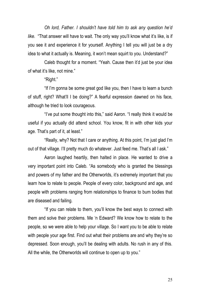*Oh lord, Father. I shouldn't have told him to ask any question he'd like.* "That answer will have to wait. The only way you'll know what it's like, is if you see it and experience it for yourself. Anything I tell you will just be a dry idea to what it actually is. Meaning, it won't mean squirt to you. Understand?"

Caleb thought for a moment. "Yeah. Cause then it'd just be your idea of what it's like, not mine."

"Right."

"If I'm gonna be some great god like you, then I have to learn a bunch of stuff, right? What'll I be doing?" A fearful expression dawned on his face, although he tried to look courageous.

"I've put some thought into this," said Aaron. "I really think it would be useful if you actually did attend school. You know, fit in with other kids your age. That's part of it, at least."

"Really, why? Not that I care or anything. At this point, I'm just glad I'm out of that village. I'll pretty much do whatever. Just feed me. That's all I ask."

Aaron laughed heartily, then halted in place. He wanted to drive a very important point into Caleb. "As somebody who is granted the blessings and powers of my father and the Otherworlds, it's extremely important that you learn how to relate to people. People of every color, background and age, and people with problems ranging from relationships to finance to bum bodies that are diseased and failing.

"If you can relate to them, you'll know the best ways to connect with them and solve their problems. Me 'n Edward? We know how to relate to the people, so we were able to help your village. So I want you to be able to relate with people your age first. Find out what their problems are and why they're so depressed. Soon enough, you'll be dealing with adults. No rush in any of this. All the while, the Otherworlds will continue to open up to you."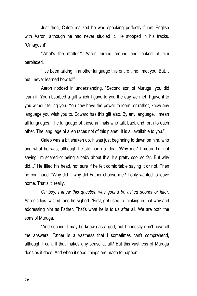Just then, Caleb realized he was speaking perfectly fluent English with Aaron, although he had never studied it. He stopped in his tracks. "Omagosh!"

"What's the matter?" Aaron turned around and looked at him perplexed.

"I've been talking in another language this entire time I met you! But… but I never learned how to!"

Aaron nodded in understanding. "Second son of Muruga, you did learn it. You absorbed a gift which I gave to you the day we met. I gave it to you without telling you. You now have the power to learn, or rather, know any language you wish you to. Edward has this gift also. By any language, I mean all languages. The language of those animals who talk back and forth to each other. The language of alien races not of this planet. It is all available to you."

Caleb was a bit shaken up. It was just beginning to dawn on him, who and what he was, although he still had no idea. "Why me? I mean, I'm not saying I'm scared or being a baby about this. It's pretty cool so far. But why did…" He tilted his head, not sure if he felt comfortable saying it or not. Then he continued. "Why did… why did Father choose me? I only wanted to leave home. That's it, really."

*Oh boy. I knew this question was gonna be asked sooner or later.* Aaron's lips twisted, and he sighed. "First, get used to thinking in that way and addressing him as Father. That's what he is to us after all. We are both the sons of Muruga.

"And second, I may be known as a god, but I honestly don't have all the answers. Father is a vastness that I sometimes can't comprehend, although I can. If that makes any sense at all? But this vastness of Muruga does as it does. And when it does, things are made to happen.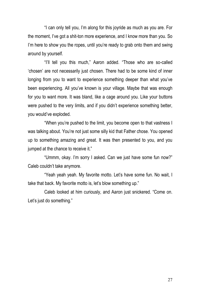"I can only tell you, I'm along for this joyride as much as you are. For the moment, I've got a shit-ton more experience, and I know more than you. So I'm here to show you the ropes, until you're ready to grab onto them and swing around by yourself.

"I'll tell you this much," Aaron added. "Those who are so-called 'chosen' are not necessarily just chosen. There had to be some kind of inner longing from you to want to experience something deeper than what you've been experiencing. All you've known is your village. Maybe that was enough for you to want more. It was bland, like a cage around you. Like your buttons were pushed to the very limits, and if you didn't experience something better, you would've exploded.

"When you're pushed to the limit, you become open to that vastness I was talking about. You're not just some silly kid that Father chose. You opened up to something amazing and great. It was then presented to you, and you jumped at the chance to receive it."

"Ummm, okay. I'm sorry I asked. Can we just have some fun now?" Caleb couldn't take anymore.

"Yeah yeah yeah. My favorite motto. Let's have some fun. No wait, I take that back. My favorite motto is, let's blow something up."

Caleb looked at him curiously, and Aaron just snickered. "Come on. Let's just do something."